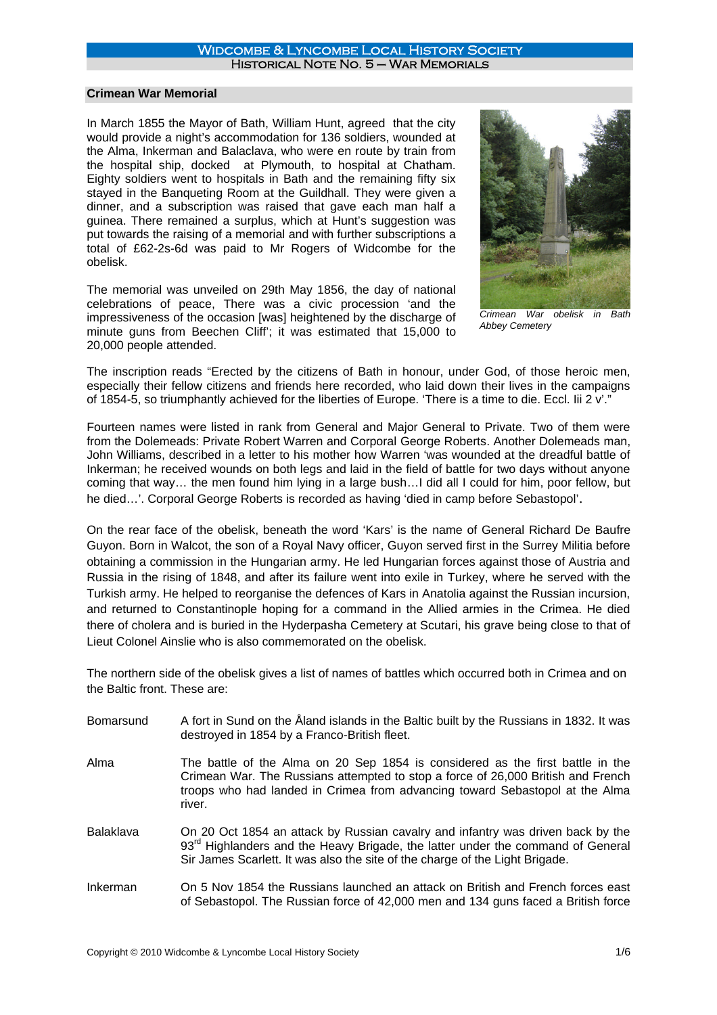### Widcombe & Lyncombe Local History Society Historical Note No. 5 – War Memorials

## **Crimean War Memorial**

In March 1855 the Mayor of Bath, William Hunt, agreed that the city would provide a night's accommodation for 136 soldiers, wounded at the Alma, Inkerman and Balaclava, who were en route by train from the hospital ship, docked at Plymouth, to hospital at Chatham. Eighty soldiers went to hospitals in Bath and the remaining fifty six stayed in the Banqueting Room at the Guildhall. They were given a dinner, and a subscription was raised that gave each man half a guinea. There remained a surplus, which at Hunt's suggestion was put towards the raising of a memorial and with further subscriptions a total of £62-2s-6d was paid to Mr Rogers of Widcombe for the obelisk.

The memorial was unveiled on 29th May 1856, the day of national celebrations of peace, There was a civic procession 'and the impressiveness of the occasion [was] heightened by the discharge of minute guns from Beechen Cliff'; it was estimated that 15,000 to 20,000 people attended.



*Crimean War obelisk in Bath Abbey Cemetery*

The inscription reads "Erected by the citizens of Bath in honour, under God, of those heroic men, especially their fellow citizens and friends here recorded, who laid down their lives in the campaigns of 1854-5, so triumphantly achieved for the liberties of Europe. 'There is a time to die. Eccl. Iii 2 v'."

Fourteen names were listed in rank from General and Major General to Private. Two of them were from the Dolemeads: Private Robert Warren and Corporal George Roberts. Another Dolemeads man, John Williams, described in a letter to his mother how Warren 'was wounded at the dreadful battle of Inkerman; he received wounds on both legs and laid in the field of battle for two days without anyone coming that way… the men found him lying in a large bush…I did all I could for him, poor fellow, but he died…'. Corporal George Roberts is recorded as having 'died in camp before Sebastopol'.

On the rear face of the obelisk, beneath the word 'Kars' is the name of General Richard De Baufre Guyon. Born in Walcot, the son of a Royal Navy officer, Guyon served first in the Surrey Militia before obtaining a commission in the Hungarian army. He led Hungarian forces against those of Austria and Russia in the rising of 1848, and after its failure went into exile in Turkey, where he served with the Turkish army. He helped to reorganise the defences of Kars in Anatolia against the Russian incursion, and returned to Constantinople hoping for a command in the Allied armies in the Crimea. He died there of cholera and is buried in the Hyderpasha Cemetery at Scutari, his grave being close to that of Lieut Colonel Ainslie who is also commemorated on the obelisk.

The northern side of the obelisk gives a list of names of battles which occurred both in Crimea and on the Baltic front. These are:

| <b>Bomarsund</b> | A fort in Sund on the Åland islands in the Baltic built by the Russians in 1832. It was<br>destroyed in 1854 by a Franco-British fleet.                                                                                                                        |
|------------------|----------------------------------------------------------------------------------------------------------------------------------------------------------------------------------------------------------------------------------------------------------------|
| Alma             | The battle of the Alma on 20 Sep 1854 is considered as the first battle in the<br>Crimean War. The Russians attempted to stop a force of 26,000 British and French<br>troops who had landed in Crimea from advancing toward Sebastopol at the Alma<br>river.   |
| <b>Balaklava</b> | On 20 Oct 1854 an attack by Russian cavalry and infantry was driven back by the<br>93 <sup>rd</sup> Highlanders and the Heavy Brigade, the latter under the command of General<br>Sir James Scarlett. It was also the site of the charge of the Light Brigade. |
| Inkerman         | On 5 Nov 1854 the Russians launched an attack on British and French forces east<br>of Sebastopol. The Russian force of 42,000 men and 134 guns faced a British force                                                                                           |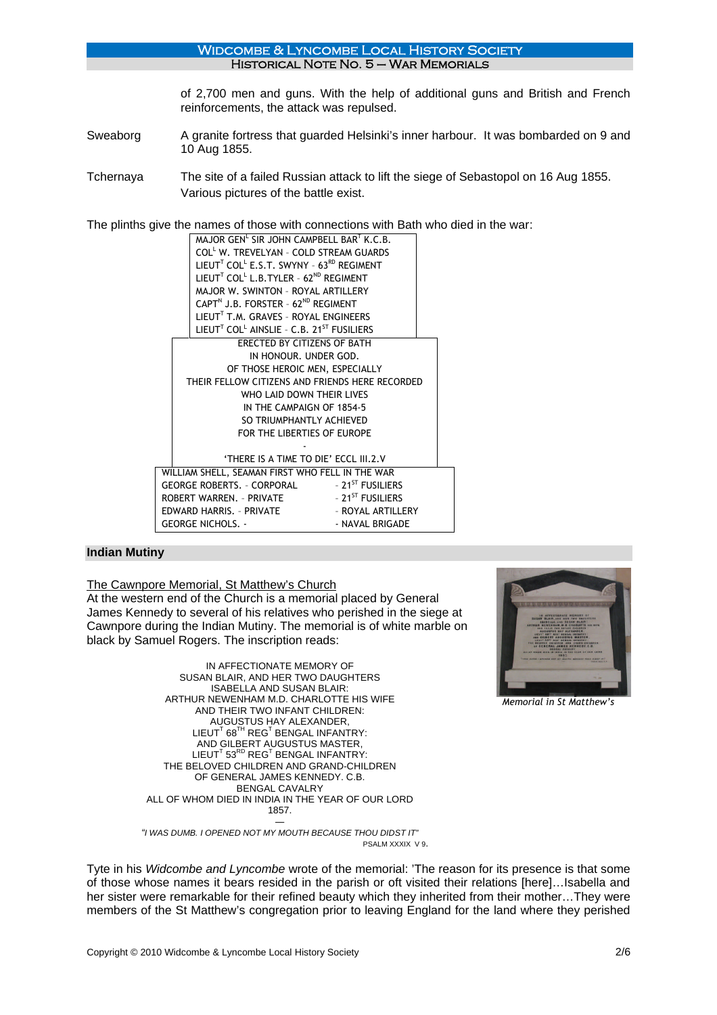Historical Note No. 5 – War Memorials

of 2,700 men and guns. With the help of additional guns and British and French reinforcements, the attack was repulsed.

Sweaborg A granite fortress that guarded Helsinki's inner harbour. It was bombarded on 9 and 10 Aug 1855.

Widcombe & Lyncombe Local History Society

Tchernaya The site of a failed Russian attack to lift the siege of Sebastopol on 16 Aug 1855. Various pictures of the battle exist.

The plinths give the names of those with connections with Bath who died in the war:

|                                                 |                                               | MAJOR GEN <sup>L</sup> SIR JOHN CAMPBELL BART K.C.B.                          |                              |  |  |
|-------------------------------------------------|-----------------------------------------------|-------------------------------------------------------------------------------|------------------------------|--|--|
|                                                 |                                               | COLL W. TREVELYAN - COLD STREAM GUARDS                                        |                              |  |  |
|                                                 |                                               | LIEUT <sup>T</sup> COL <sup>L</sup> E.S.T. SWYNY - $63^{RD}$ REGIMENT         |                              |  |  |
|                                                 |                                               | LIEUT <sup>T</sup> COL <sup>L</sup> L.B. TYLER - 62 <sup>ND</sup> REGIMENT    |                              |  |  |
|                                                 |                                               | MAJOR W. SWINTON - ROYAL ARTILLERY                                            |                              |  |  |
|                                                 |                                               | CAPT <sup>N</sup> J.B. FORSTER - 62 <sup>ND</sup> REGIMENT                    |                              |  |  |
|                                                 |                                               | LIEUT <sup>T</sup> T.M. GRAVES - ROYAL ENGINEERS                              |                              |  |  |
|                                                 |                                               | LIEUT <sup>T</sup> COL <sup>L</sup> AINSLIE - C.B. 21 <sup>ST</sup> FUSILIERS |                              |  |  |
| ERECTED BY CITIZENS OF BATH                     |                                               |                                                                               |                              |  |  |
|                                                 |                                               | IN HONOUR. UNDER GOD.                                                         |                              |  |  |
|                                                 |                                               | OF THOSE HEROIC MEN, ESPECIALLY                                               |                              |  |  |
|                                                 |                                               | THEIR FELLOW CITIZENS AND FRIENDS HERE RECORDED                               |                              |  |  |
|                                                 | WHO LAID DOWN THEIR LIVES                     |                                                                               |                              |  |  |
|                                                 |                                               | IN THE CAMPAIGN OF 1854-5                                                     |                              |  |  |
|                                                 |                                               | SO TRIUMPHANTLY ACHIEVED                                                      |                              |  |  |
|                                                 | FOR THE LIBERTIES OF EUROPE                   |                                                                               |                              |  |  |
|                                                 |                                               |                                                                               |                              |  |  |
|                                                 |                                               | 'THERE IS A TIME TO DIE' ECCL III.2.V                                         |                              |  |  |
| WILLIAM SHELL, SEAMAN FIRST WHO FELL IN THE WAR |                                               |                                                                               |                              |  |  |
|                                                 |                                               | GEORGE ROBERTS. - CORPORAL - 21 <sup>ST</sup> FUSILIERS                       |                              |  |  |
|                                                 |                                               | ROBERT WARREN. - PRIVATE                                                      | - 21 <sup>ST</sup> FUSILIERS |  |  |
|                                                 | - ROYAL ARTILLERY<br>FDWARD HARRIS. - PRIVATF |                                                                               |                              |  |  |
|                                                 | <b>GEORGE NICHOLS. -</b><br>- NAVAL BRIGADE   |                                                                               |                              |  |  |

### **Indian Mutiny**

The Cawnpore Memorial, St Matthew's Church

At the western end of the Church is a memorial placed by General James Kennedy to several of his relatives who perished in the siege at Cawnpore during the Indian Mutiny. The memorial is of white marble on black by Samuel Rogers. The inscription reads:

> IN AFFECTIONATE MEMORY OF SUSAN BLAIR, AND HER TWO DAUGHTERS ISABELLA AND SUSAN BLAIR: ARTHUR NEWENHAM M.D. CHARLOTTE HIS WIFE AND THEIR TWO INFANT CHILDREN: AUGUSTUS HAY ALEXANDER, LIEUT $^{\intercal}$  68 $^{\intercal}$ H REG $^{\intercal}$  BENGAL INFANTRY: AND GILBERT AUGUSTUS MASTER,  $\mathsf{LIEUT}^\mathsf{T}$  53 $^\mathsf{RD}$  REG $^\mathsf{T}$  BENGAL INFANTRY: THE BELOVED CHILDREN AND GRAND-CHILDREN OF GENERAL JAMES KENNEDY. C.B. BENGAL CAVALRY ALL OF WHOM DIED IN INDIA IN THE YEAR OF OUR LORD 1857. ―



*Memorial in St Matthew's*

*"I WAS DUMB. I OPENED NOT MY MOUTH BECAUSE THOU DIDST IT"* PSALM XXXIX V 9.

Tyte in his *Widcombe and Lyncombe* wrote of the memorial: 'The reason for its presence is that some of those whose names it bears resided in the parish or oft visited their relations [here]…Isabella and her sister were remarkable for their refined beauty which they inherited from their mother...They were members of the St Matthew's congregation prior to leaving England for the land where they perished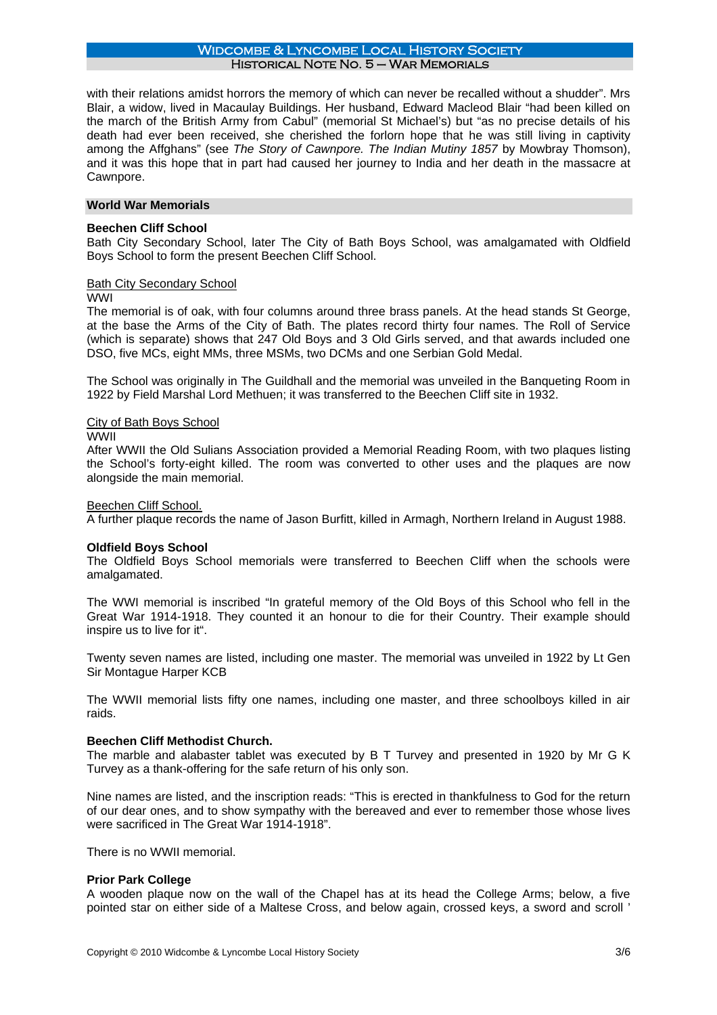with their relations amidst horrors the memory of which can never be recalled without a shudder". Mrs Blair, a widow, lived in Macaulay Buildings. Her husband, Edward Macleod Blair "had been killed on the march of the British Army from Cabul" (memorial St Michael's) but "as no precise details of his death had ever been received, she cherished the forlorn hope that he was still living in captivity among the Affghans" (see *The Story of Cawnpore. The Indian Mutiny 1857* by Mowbray Thomson), and it was this hope that in part had caused her journey to India and her death in the massacre at Cawnpore.

# **World War Memorials**

### **Beechen Cliff School**

Bath City Secondary School, later The City of Bath Boys School, was amalgamated with Oldfield Boys School to form the present Beechen Cliff School.

### Bath City Secondary School

#### WWI

The memorial is of oak, with four columns around three brass panels. At the head stands St George, at the base the Arms of the City of Bath. The plates record thirty four names. The Roll of Service (which is separate) shows that 247 Old Boys and 3 Old Girls served, and that awards included one DSO, five MCs, eight MMs, three MSMs, two DCMs and one Serbian Gold Medal.

The School was originally in The Guildhall and the memorial was unveiled in the Banqueting Room in 1922 by Field Marshal Lord Methuen; it was transferred to the Beechen Cliff site in 1932.

## City of Bath Boys School

### WWII

After WWII the Old Sulians Association provided a Memorial Reading Room, with two plaques listing the School's forty-eight killed. The room was converted to other uses and the plaques are now alongside the main memorial.

#### Beechen Cliff School.

A further plaque records the name of Jason Burfitt, killed in Armagh, Northern Ireland in August 1988.

#### **Oldfield Boys School**

The Oldfield Boys School memorials were transferred to Beechen Cliff when the schools were amalgamated.

The WWI memorial is inscribed "In grateful memory of the Old Boys of this School who fell in the Great War 1914-1918. They counted it an honour to die for their Country. Their example should inspire us to live for it".

Twenty seven names are listed, including one master. The memorial was unveiled in 1922 by Lt Gen Sir Montague Harper KCB

The WWII memorial lists fifty one names, including one master, and three schoolboys killed in air raids.

#### **Beechen Cliff Methodist Church.**

The marble and alabaster tablet was executed by B T Turvey and presented in 1920 by Mr G K Turvey as a thank-offering for the safe return of his only son.

Nine names are listed, and the inscription reads: "This is erected in thankfulness to God for the return of our dear ones, and to show sympathy with the bereaved and ever to remember those whose lives were sacrificed in The Great War 1914-1918".

There is no WWII memorial.

#### **Prior Park College**

A wooden plaque now on the wall of the Chapel has at its head the College Arms; below, a five pointed star on either side of a Maltese Cross, and below again, crossed keys, a sword and scroll '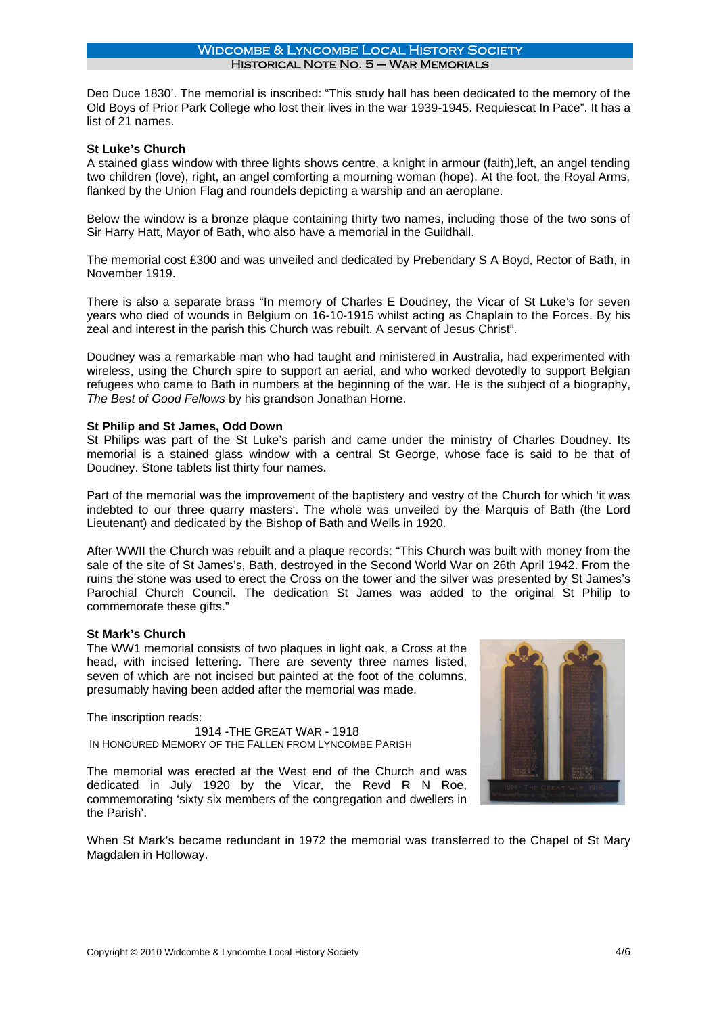Deo Duce 1830'. The memorial is inscribed: "This study hall has been dedicated to the memory of the Old Boys of Prior Park College who lost their lives in the war 1939-1945. Requiescat In Pace". It has a list of 21 names.

## **St Luke's Church**

A stained glass window with three lights shows centre, a knight in armour (faith),left, an angel tending two children (love), right, an angel comforting a mourning woman (hope). At the foot, the Royal Arms, flanked by the Union Flag and roundels depicting a warship and an aeroplane.

Below the window is a bronze plaque containing thirty two names, including those of the two sons of Sir Harry Hatt, Mayor of Bath, who also have a memorial in the Guildhall.

The memorial cost £300 and was unveiled and dedicated by Prebendary S A Boyd, Rector of Bath, in November 1919.

There is also a separate brass "In memory of Charles E Doudney, the Vicar of St Luke's for seven years who died of wounds in Belgium on 16-10-1915 whilst acting as Chaplain to the Forces. By his zeal and interest in the parish this Church was rebuilt. A servant of Jesus Christ".

Doudney was a remarkable man who had taught and ministered in Australia, had experimented with wireless, using the Church spire to support an aerial, and who worked devotedly to support Belgian refugees who came to Bath in numbers at the beginning of the war. He is the subject of a biography, *The Best of Good Fellows* by his grandson Jonathan Horne.

### **St Philip and St James, Odd Down**

St Philips was part of the St Luke's parish and came under the ministry of Charles Doudney. Its memorial is a stained glass window with a central St George, whose face is said to be that of Doudney. Stone tablets list thirty four names.

Part of the memorial was the improvement of the baptistery and vestry of the Church for which 'it was indebted to our three quarry masters'. The whole was unveiled by the Marquis of Bath (the Lord Lieutenant) and dedicated by the Bishop of Bath and Wells in 1920.

After WWII the Church was rebuilt and a plaque records: "This Church was built with money from the sale of the site of St James's, Bath, destroyed in the Second World War on 26th April 1942. From the ruins the stone was used to erect the Cross on the tower and the silver was presented by St James's Parochial Church Council. The dedication St James was added to the original St Philip to commemorate these gifts."

#### **St Mark's Church**

The WW1 memorial consists of two plaques in light oak, a Cross at the head, with incised lettering. There are seventy three names listed, seven of which are not incised but painted at the foot of the columns, presumably having been added after the memorial was made.

The inscription reads:

1914 -THE GREAT WAR - 1918 IN HONOURED MEMORY OF THE FALLEN FROM LYNCOMBE PARISH

The memorial was erected at the West end of the Church and was dedicated in July 1920 by the Vicar, the Revd R N Roe, commemorating 'sixty six members of the congregation and dwellers in the Parish'.



When St Mark's became redundant in 1972 the memorial was transferred to the Chapel of St Mary Magdalen in Holloway.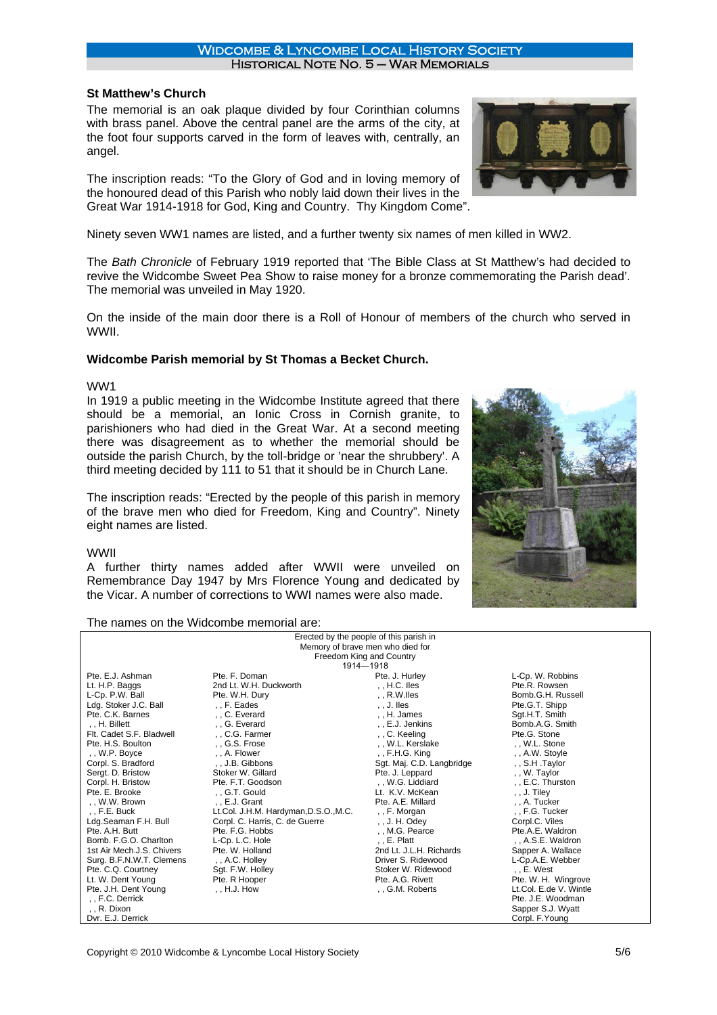# **St Matthew's Church**

The memorial is an oak plaque divided by four Corinthian columns with brass panel. Above the central panel are the arms of the city, at the foot four supports carved in the form of leaves with, centrally, an angel.

The inscription reads: "To the Glory of God and in loving memory of the honoured dead of this Parish who nobly laid down their lives in the Great War 1914-1918 for God, King and Country. Thy Kingdom Come".

Ninety seven WW1 names are listed, and a further twenty six names of men killed in WW2.

The *Bath Chronicle* of February 1919 reported that 'The Bible Class at St Matthew's had decided to revive the Widcombe Sweet Pea Show to raise money for a bronze commemorating the Parish dead'. The memorial was unveiled in May 1920.

On the inside of the main door there is a Roll of Honour of members of the church who served in WWII.

# **Widcombe Parish memorial by St Thomas a Becket Church.**

# WW1

In 1919 a public meeting in the Widcombe Institute agreed that there should be a memorial, an Ionic Cross in Cornish granite, to parishioners who had died in the Great War. At a second meeting there was disagreement as to whether the memorial should be outside the parish Church, by the toll-bridge or 'near the shrubbery'. A third meeting decided by 111 to 51 that it should be in Church Lane.

The inscription reads: "Erected by the people of this parish in memory of the brave men who died for Freedom, King and Country". Ninety eight names are listed.

# WWII

A further thirty names added after WWII were unveiled on Remembrance Day 1947 by Mrs Florence Young and dedicated by the Vicar. A number of corrections to WWI names were also made.



#### The names on the Widcombe memorial are:

| Erected by the people of this parish in |                                       |                                  |                        |  |  |  |
|-----------------------------------------|---------------------------------------|----------------------------------|------------------------|--|--|--|
|                                         |                                       | Memory of brave men who died for |                        |  |  |  |
| Freedom King and Country                |                                       |                                  |                        |  |  |  |
|                                         |                                       | 1914-1918                        |                        |  |  |  |
| Pte. E.J. Ashman                        | Pte. F. Doman                         | Pte. J. Hurley                   | L-Cp. W. Robbins       |  |  |  |
| Lt. H.P. Baggs                          | 2nd Lt. W.H. Duckworth                | , , $H.C.$ Iles                  | Pte.R. Rowsen          |  |  |  |
| L-Cp. P.W. Ball                         | Pte. W.H. Dury                        | $R.W.$ lles                      | Bomb.G.H. Russell      |  |  |  |
| Ldg. Stoker J.C. Ball                   | . F. Eades                            | , , J. Iles                      | Pte.G.T. Shipp         |  |  |  |
| Pte. C.K. Barnes                        | C. Everard                            | H. James                         | Sgt.H.T. Smith         |  |  |  |
| ., H. Billett                           | G. Everard                            | . E.J. Jenkins                   | Bomb.A.G. Smith        |  |  |  |
| Flt. Cadet S.F. Bladwell                | C.G. Farmer                           | , , C. Keeling                   | Pte.G. Stone           |  |  |  |
| Pte. H.S. Boulton                       | G.S. Frose                            | W.L. Kerslake                    | W.L. Stone             |  |  |  |
| ,, W.P. Boyce                           | A. Flower                             | $,$ , F.H.G. King                | , A.W. Stoyle          |  |  |  |
| Corpl. S. Bradford                      | J.B. Gibbons                          | Sgt. Maj. C.D. Langbridge        | ,, S.H.Taylor          |  |  |  |
| Sergt. D. Bristow                       | Stoker W. Gillard                     | Pte. J. Leppard                  | ,, W. Taylor           |  |  |  |
| Corpl. H. Bristow                       | Pte. F.T. Goodson                     | ,, W.G. Liddiard                 | E.C. Thurston          |  |  |  |
| Pte. E. Brooke                          | , , G.T. Gould                        | Lt. K.V. McKean                  | , , J. Tiley           |  |  |  |
| , , W.W. Brown                          | E.J. Grant                            | Pte. A.E. Millard                | ., A. Tucker           |  |  |  |
| $,$ , F.E. Buck                         | Lt.Col. J.H.M. Hardyman, D.S.O., M.C. | , , F. Morgan                    | , , F.G. Tucker        |  |  |  |
| Ldg.Seaman F.H. Bull                    | Corpl. C. Harris, C. de Guerre        | , , J. H. Odey                   | Corpl.C. Viles         |  |  |  |
| Pte. A.H. Butt                          | Pte. F.G. Hobbs                       | M.G. Pearce                      | Pte.A.E. Waldron       |  |  |  |
| Bomb, F.G.O. Charlton                   | L-Cp. L.C. Hole                       | $, E.$ Platt                     | , , A.S.E. Waldron     |  |  |  |
| 1st Air Mech.J.S. Chivers               | Pte. W. Holland                       | 2nd Lt. J.L.H. Richards          | Sapper A. Wallace      |  |  |  |
| Surg. B.F.N.W.T. Clemens                | , , A.C. Holley                       | Driver S. Ridewood               | L-Cp.A.E. Webber       |  |  |  |
| Pte. C.Q. Courtney                      | Sqt. F.W. Holley                      | Stoker W. Ridewood               | , , $E.$ West          |  |  |  |
| Lt. W. Dent Young                       | Pte. R Hooper                         | Pte. A.G. Rivett                 | Pte. W. H. Wingrove    |  |  |  |
| Pte. J.H. Dent Young                    | $, H.J.$ How                          | G.M. Roberts                     | Lt.Col. E.de V. Wintle |  |  |  |
| , , F.C. Derrick                        |                                       |                                  | Pte. J.E. Woodman      |  |  |  |
| , , R. Dixon                            |                                       |                                  | Sapper S.J. Wyatt      |  |  |  |
| Dyr. E.J. Derrick                       |                                       |                                  | Corpl. F.Young         |  |  |  |